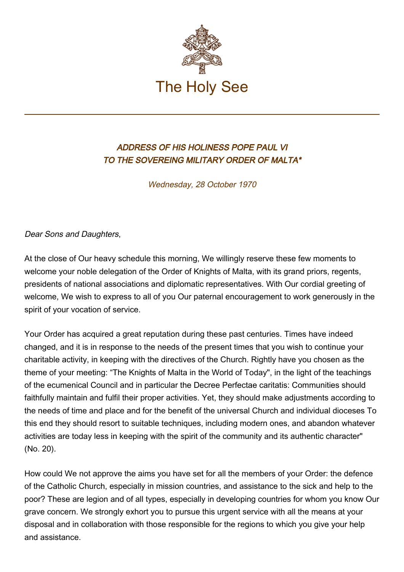

## ADDRESS OF HIS HOLINESS POPE PAUL VI TO THE SOVEREING MILITARY ORDER OF MALTA\*

Wednesday, 28 October 1970

Dear Sons and Daughters,

At the close of Our heavy schedule this morning, We willingly reserve these few moments to welcome your noble delegation of the Order of Knights of Malta, with its grand priors, regents, presidents of national associations and diplomatic representatives. With Our cordial greeting of welcome, We wish to express to all of you Our paternal encouragement to work generously in the spirit of your vocation of service.

Your Order has acquired a great reputation during these past centuries. Times have indeed changed, and it is in response to the needs of the present times that you wish to continue your charitable activity, in keeping with the directives of the Church. Rightly have you chosen as the theme of your meeting: "The Knights of Malta in the World of Today", in the light of the teachings of the ecumenical Council and in particular the Decree Perfectae caritatis: Communities should faithfully maintain and fulfil their proper activities. Yet, they should make adjustments according to the needs of time and place and for the benefit of the universal Church and individual dioceses To this end they should resort to suitable techniques, including modern ones, and abandon whatever activities are today less in keeping with the spirit of the community and its authentic character" (No. 20).

How could We not approve the aims you have set for all the members of your Order: the defence of the Catholic Church, especially in mission countries, and assistance to the sick and help to the poor? These are legion and of all types, especially in developing countries for whom you know Our grave concern. We strongly exhort you to pursue this urgent service with all the means at your disposal and in collaboration with those responsible for the regions to which you give your help and assistance.